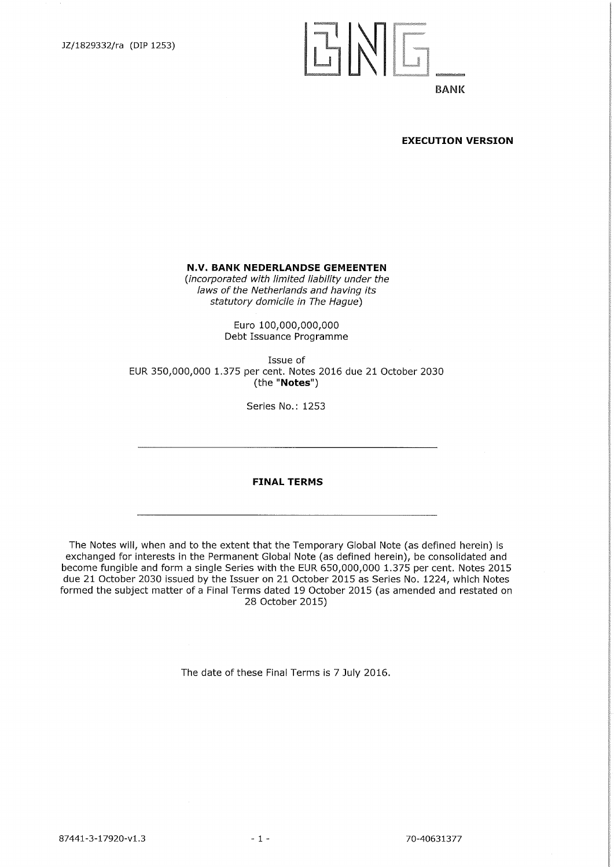# $|L'|\sqrt{|}$

# **BANK**

#### **EXECUTION VERSION**

**N.V. BANK NEDERLANDSE GEMEENTEN** 

*(incorporated with limited liability under the laws of the Netherlands and haying its statutory domicile in The Hague)* 

> Euro 100,000,000,000 Debt Issuance Programme

Issue of EUR 350,000,000 1.375 per cent. Notes 2016 due 21 October 2030 (the "Notes")

Series No.: 1253

**FINAL TERMS** 

The Notes will, when and to the extent that the Temporary Global Note (as defined herein) is exchanged for interests in the Permanent Global Note (as defined herein), be consolidated and become fungible and form a single Series with the EUR 650,000,000 1.375 per cent. Notes 2015 due 21 October 2030 issued by the Issuer on 21 October 2015 as Series No. 1224, which Notes formed the subject matter of a Final Terms dated 19 October 2015 (as amended and restated on 28 October 2015)

The date of these Final Terms is 7 July 2016.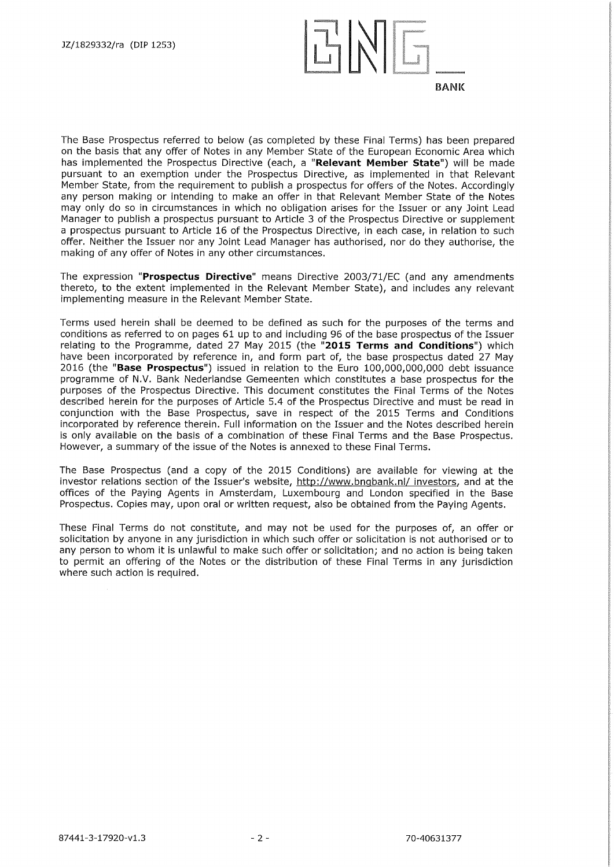

The Base Prospectus referred to below (as completed by these Final Terms) has been prepared on the basis that any offer of Notes in any Member State of the European Economic Area which has implemented the Prospectus Directive (each, a **"Relevant Member State")** will be made pursuant to an exemption under the Prospectus Directive, as implemented in that Relevant Member State, from the requirement to publish a prospectus for offers of the Notes. Accordingly any person making or intending to make an offer in that Relevant Member State of the Notes may only do so in circumstances in which no obligation arises for the Issuer or any Joint Lead Manager to publish a prospectus pursuant to Article 3 of the Prospectus Directive or supplement a prospectus pursuant to Article 16 of the Prospectus Directive, in each case, in relation to such offer. Neither the Issuer nor any Joint Lead Manager has authorised, nor do they authorise, the making of any offer of Notes in any other circumstances.

The expression **"Prospectus Directive"** means Directive 2003/71/EC (and any amendments thereto, to the extent implemented in the Relevant Member State), and includes any relevant implementing measure in the Relevant Member State.

Terms used herein shall be deemed to be defined as such for the purposes of the terms and conditions as referred to on pages 61 up to and including 96 of the base prospectus of the Issuer relating to the Programme, dated 27 May 2015 (the **"2015 Terms and Conditions")** which have been incorporated by reference in, and form part of, the base prospectus dated 27 May 2016 (the **"Base Prospectus")** issued in relation to the Euro 100,000,000,000 debt issuance programme of N.V. Bank Nederlandse Gemeenten which constitutes a base prospectus for the purposes of the Prospectus Directive. This document constitutes the Final Terms of the Notes described herein for the purposes of Article 5.4 of the Prospectus Directive and must be read in conjunction with the Base Prospectus, save in respect of the 2015 Terms and Conditions incorporated by reference therein. Full information on the Issuer and the Notes described herein is only available on the basis of a combination of these Final Terms and the Base Prospectus. However, a summary of the issue of the Notes is annexed to these Final Terms.

The Base Prospectus (and a copy of the 2015 Conditions) are available for viewing at the investor relations section of the Issuer's website, http://www.bngbank.n1/ investors, and at the offices of the Paying Agents in Amsterdam, Luxembourg and London specified in the Base Prospectus. Copies may, upon oral or written request, also be obtained from the Paying Agents.

These Final Terms do not constitute, and may not be used for the purposes of, an offer or solicitation by anyone in any jurisdiction in which such offer or solicitation is not authorised or to any person to whom it is unlawful to make such offer or solicitation; and no action is being taken to permit an offering of the Notes or the distribution of these Final Terms in any jurisdiction where such action is required.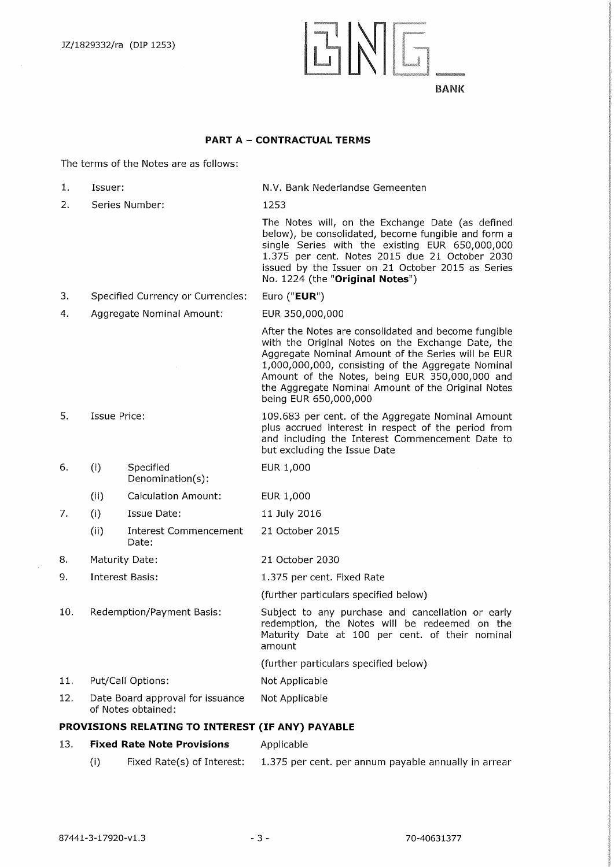

# **PART A — CONTRACTUAL TERMS**

The terms of the Notes are as follows:

| 1.  | Issuer:        |                                                        | N.V. Bank Nederlandse Gemeenten                                                                                                                                                                                                                                                                                                                        |  |
|-----|----------------|--------------------------------------------------------|--------------------------------------------------------------------------------------------------------------------------------------------------------------------------------------------------------------------------------------------------------------------------------------------------------------------------------------------------------|--|
| 2.  |                | Series Number:                                         | 1253                                                                                                                                                                                                                                                                                                                                                   |  |
|     |                |                                                        | The Notes will, on the Exchange Date (as defined<br>below), be consolidated, become fungible and form a<br>single Series with the existing EUR 650,000,000<br>1.375 per cent. Notes 2015 due 21 October 2030<br>issued by the Issuer on 21 October 2015 as Series<br>No. 1224 (the "Original Notes")                                                   |  |
| З.  |                | Specified Currency or Currencies:                      | Euro ("EUR")                                                                                                                                                                                                                                                                                                                                           |  |
| 4.  |                | Aggregate Nominal Amount:                              | EUR 350,000,000                                                                                                                                                                                                                                                                                                                                        |  |
|     |                |                                                        | After the Notes are consolidated and become fungible<br>with the Original Notes on the Exchange Date, the<br>Aggregate Nominal Amount of the Series will be EUR<br>1,000,000,000, consisting of the Aggregate Nominal<br>Amount of the Notes, being EUR 350,000,000 and<br>the Aggregate Nominal Amount of the Original Notes<br>being EUR 650,000,000 |  |
| 5.  | Issue Price:   |                                                        | 109.683 per cent. of the Aggregate Nominal Amount<br>plus accrued interest in respect of the period from<br>and including the Interest Commencement Date to<br>but excluding the Issue Date                                                                                                                                                            |  |
| 6.  | (i)            | Specified<br>Denomination(s):                          | EUR 1,000                                                                                                                                                                                                                                                                                                                                              |  |
|     | (ii)           | <b>Calculation Amount:</b>                             | EUR 1,000                                                                                                                                                                                                                                                                                                                                              |  |
| 7.  | (i)            | Issue Date:                                            | 11 July 2016                                                                                                                                                                                                                                                                                                                                           |  |
|     | (ii)           | Interest Commencement<br>Date:                         | 21 October 2015                                                                                                                                                                                                                                                                                                                                        |  |
| 8.  | Maturity Date: |                                                        | 21 October 2030                                                                                                                                                                                                                                                                                                                                        |  |
| 9.  |                | <b>Interest Basis:</b>                                 | 1.375 per cent. Fixed Rate                                                                                                                                                                                                                                                                                                                             |  |
|     |                |                                                        | (further particulars specified below)                                                                                                                                                                                                                                                                                                                  |  |
| 10. |                | Redemption/Payment Basis:                              | Subject to any purchase and cancellation or early<br>redemption, the Notes will be redeemed on the<br>Maturity Date at 100 per cent. of their nominal<br>amount                                                                                                                                                                                        |  |
|     |                |                                                        | (further particulars specified below)                                                                                                                                                                                                                                                                                                                  |  |
| 11. |                | Put/Call Options:                                      | Not Applicable                                                                                                                                                                                                                                                                                                                                         |  |
| 12. |                | Date Board approval for issuance<br>of Notes obtained: | Not Applicable                                                                                                                                                                                                                                                                                                                                         |  |
|     |                | PROVISIONS RELATING TO INTEREST (IF ANY) PAYABLE       |                                                                                                                                                                                                                                                                                                                                                        |  |
| 13. |                | <b>Fixed Rate Note Provisions</b>                      | Applicable                                                                                                                                                                                                                                                                                                                                             |  |
|     | (i)            | Fixed Rate(s) of Interest:                             | 1.375 per cent. per annum payable annually in arrear                                                                                                                                                                                                                                                                                                   |  |

 $\mathcal{A}$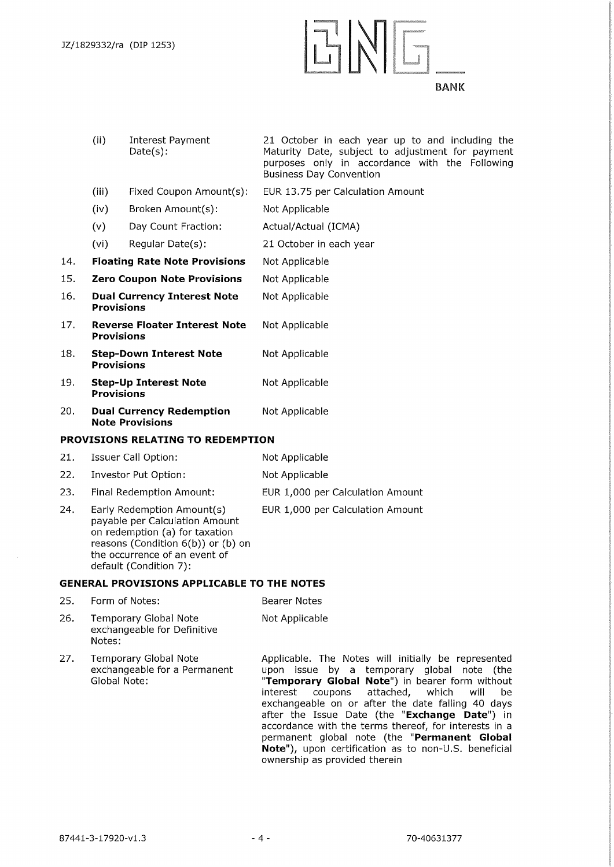

|     | (ii)                                                         | Interest Payment<br>$Date(s)$ :      | 21 October in each year up to and including the<br>Maturity Date, subject to adjustment for payment<br>purposes only in accordance with the Following<br><b>Business Day Convention</b> |  |  |
|-----|--------------------------------------------------------------|--------------------------------------|-----------------------------------------------------------------------------------------------------------------------------------------------------------------------------------------|--|--|
|     | (iii)                                                        | Fixed Coupon Amount(s):              | EUR 13.75 per Calculation Amount                                                                                                                                                        |  |  |
|     | (iv)                                                         | Broken Amount(s):                    | Not Applicable                                                                                                                                                                          |  |  |
|     | (v)                                                          | Day Count Fraction:                  | Actual/Actual (ICMA)                                                                                                                                                                    |  |  |
|     | (vi)                                                         | Regular Date(s):                     | 21 October in each year                                                                                                                                                                 |  |  |
| 14. |                                                              | <b>Floating Rate Note Provisions</b> | Not Applicable                                                                                                                                                                          |  |  |
| 15. |                                                              | <b>Zero Coupon Note Provisions</b>   | Not Applicable                                                                                                                                                                          |  |  |
| 16. | <b>Dual Currency Interest Note</b><br><b>Provisions</b>      |                                      | Not Applicable                                                                                                                                                                          |  |  |
| 17. | <b>Reverse Floater Interest Note</b><br><b>Provisions</b>    |                                      | Not Applicable                                                                                                                                                                          |  |  |
| 18. | <b>Step-Down Interest Note</b><br><b>Provisions</b>          |                                      | Not Applicable                                                                                                                                                                          |  |  |
| 19. | <b>Step-Up Interest Note</b><br><b>Provisions</b>            |                                      | Not Applicable                                                                                                                                                                          |  |  |
| 20. | <b>Dual Currency Redemption</b><br><b>Note Provisions</b>    |                                      | Not Applicable                                                                                                                                                                          |  |  |
|     |                                                              | PROVISIONS RELATING TO REDEMPTION    |                                                                                                                                                                                         |  |  |
| 21. |                                                              | Issuer Call Option:                  | Not Applicable                                                                                                                                                                          |  |  |
| 22. |                                                              | Investor Put Option:                 | Not Applicable                                                                                                                                                                          |  |  |
| 23. |                                                              | Final Redemption Amount:             | EUR 1,000 per Calculation Amount                                                                                                                                                        |  |  |
| 24. | Early Redemption Amount(s)<br>payable per Calculation Amount |                                      | EUR 1,000 per Calculation Amount                                                                                                                                                        |  |  |

Notes:

27. Temporary Global Note

Global Note:

on redemption (a) for taxation reasons (Condition 6(b)) or (b) on the occurrence of an event of

**GENERAL PROVISIONS APPLICABLE TO THE NOTES**  25. Form of Notes: Bearer Notes 26. Temporary Global Note Not Applicable

default (Condition 7):

exchangeable for Definitive

exchangeable for a Permanent

Applicable. The Notes will initially be represented upon issue by a temporary global note (the **"Temporary Global Note")** in bearer form without interest coupons attached, which will be exchangeable on or after the date falling 40 days after the Issue Date (the **"Exchange Date")** in accordance with the terms thereof, for interests in a permanent global note (the **"Permanent Global Note"),** upon certification as to non-U.S. beneficial

ownership as provided therein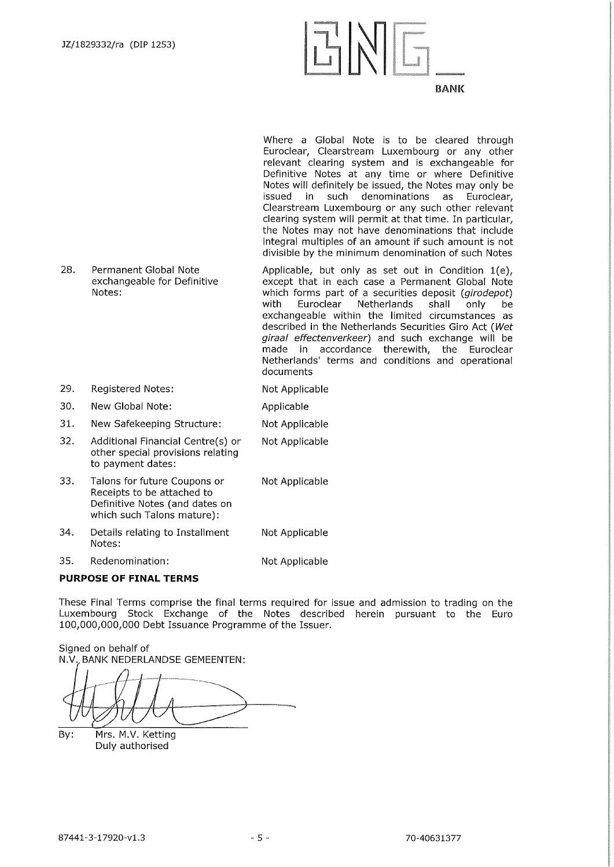

Where a Global Note is to be cleared through Euroclear, Clearstreann Luxembourg or any other relevant clearing system and is exchangeable for Definitive Notes at any time or where Definitive Notes will definitely be issued, the Notes may only be issued in such denominations as Euroclear, Clearstream Luxembourg or any such other relevant clearing system will permit at that time. In particular, the Notes may not have denominations that include integral multiples of an amount if such amount is not divisible by the minimum denomination of such Notes

- 28. Permanent Global Note exchangeable for Definitive Notes: Applicable, but only as set out in Condition 1(e), except that in each case a Permanent Global Note which forms part of a securities deposit *(girodepot)*  with Euroclear Netherlands shall only be exchangeable within the limited circumstances as described in the Netherlands Securities Giro Act *(Wet giraal effectenverkeer)* and such exchange will be made in accordance therewith, the Euroclear Netherlands' terms and conditions and operational documents
- 29. Registered Notes: Not Applicable

30. New Global Note: Applicable

31. New Safekeeping Structure: Not Applicable

- 32. Additional Financial Centre(s) or other special provisions relating to payment dates: Not Applicable
- 33. Talons for future Coupons or Not Applicable Receipts to be attached to Definitive Notes (and dates on which such Talons mature):
- 34. Details relating to Installment Not Applicable Notes:

35. Redenomination: Not Applicable

#### **PURPOSE OF FINAL TERMS**

These Final Terms comprise the final terms required for issue and admission to trading on the Luxembourg Stock Exchange of the Notes described herein pursuant to the Euro 100,000,000,000 Debt Issuance Programme of the Issuer.

Signed on behalf of N.V. BANK NEDERLANDSE GEMEENTEN:

By: Mrs. M.V. Ketting Duly authorised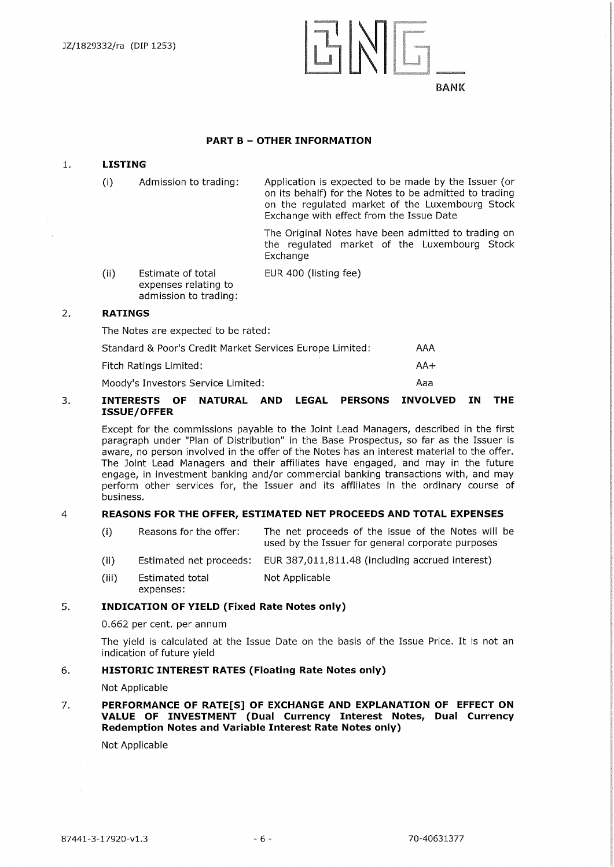

#### **PART B — OTHER INFORMATION**

#### **1. LISTING**

(i) Admission to trading: Application is expected to be made by the Issuer (or on its behalf) for the Notes to be admitted to trading on the regulated market of the Luxembourg Stock Exchange with effect from the Issue Date

> The Original Notes have been admitted to trading on the regulated market of the Luxembourg Stock Exchange

(ii) Estimate of total expenses relating to admission to trading: EUR 400 (listing fee)

#### **2. RATINGS**

The Notes are expected to be rated:

| Standard & Poor's Credit Market Services Europe Limited: | AAA   |
|----------------------------------------------------------|-------|
| Fitch Ratings Limited:                                   | $AA+$ |
| Moody's Investors Service Limited:                       | Ааа   |

#### **3. INTERESTS OF NATURAL AND LEGAL PERSONS INVOLVED IN THE ISSUE/OFFER**

Except for the commissions payable to the Joint Lead Managers, described in the first paragraph under "Plan of Distribution" in the Base Prospectus, so far as the Issuer is aware, no person involved in the offer of the Notes has an interest material to the offer. The Joint Lead Managers and their affiliates have engaged, and may in the future engage, in investment banking and/or commercial banking transactions with, and may perform other services for, the Issuer and its affiliates in the ordinary course of business.

#### 4 **REASONS FOR THE OFFER, ESTIMATED NET PROCEEDS AND TOTAL EXPENSES**

- (i) Reasons for the offer: The net proceeds of the issue of the Notes will be used by the Issuer for general corporate purposes
- (ii) Estimated net proceeds: EUR 387,011,811.48 (including accrued interest)
- (iii) Estimated total expenses: Not Applicable

#### **5. INDICATION OF YIELD (Fixed Rate Notes only)**

0.662 per cent. per annum

The yield is calculated at the Issue Date on the basis of the Issue Price. It is not an indication of future yield

#### **6. HISTORIC INTEREST RATES (Floating Rate Notes only)**

Not Applicable

#### **7. PERFORMANCE OF RATE[S] OF EXCHANGE AND EXPLANATION OF EFFECT ON VALUE OF INVESTMENT (Dual Currency Interest Notes, Dual Currency Redemption Notes and Variable Interest Rate Notes only)**

Not Applicable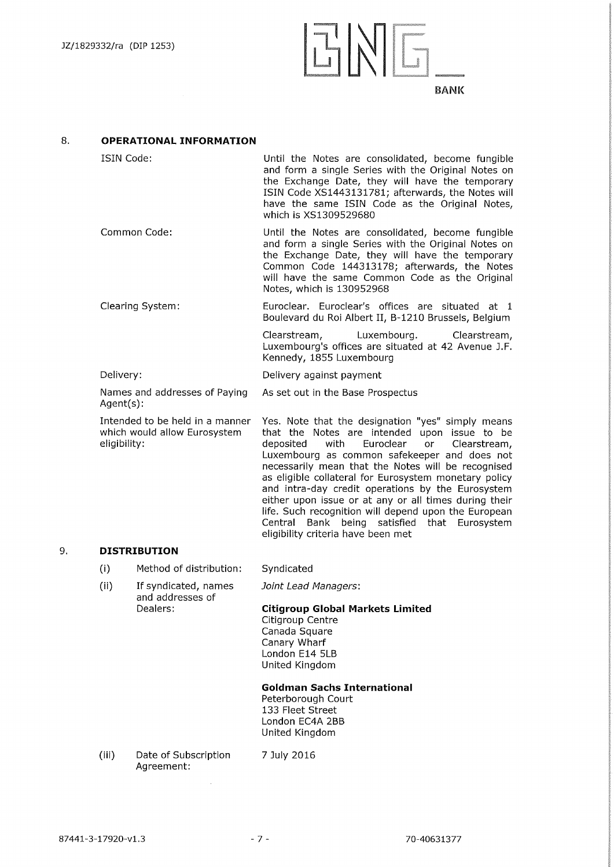# $7 N$  $\Box$   $\Box$   $\Box$ *1,57.XgP.a.§,g001*

**BANK** 

#### **8. OPERATIONAL INFORMATION**

| ISIN Code:       | Until the Notes are consolidated, become fungible<br>and form a single Series with the Original Notes on<br>the Exchange Date, they will have the temporary<br>ISIN Code XS1443131781; afterwards, the Notes will<br>have the same ISIN Code as the Original Notes,<br>which is XS1309529680 |  |  |
|------------------|----------------------------------------------------------------------------------------------------------------------------------------------------------------------------------------------------------------------------------------------------------------------------------------------|--|--|
| Common Code:     | Until the Notes are consolidated, become fungible<br>and form a single Series with the Original Notes on<br>the Exchange Date, they will have the temporary<br>Common Code 144313178; afterwards, the Notes<br>will have the same Common Code as the Original<br>Notes, which is 130952968   |  |  |
| Clearing System: | Euroclear, Euroclear's offices are situated at 1<br>Boulevard du Roi Albert II, B-1210 Brussels, Belgium                                                                                                                                                                                     |  |  |
|                  | Clearstream, Luxembourg. Clearstream,<br>Luxembourg's offices are situated at 42 Avenue J.F.<br>Kennedy, 1855 Luxembourg                                                                                                                                                                     |  |  |

Delivery against payment

Delivery:

Names and addresses of Paying Agent(s): As set out in the Base Prospectus

Intended to be held in a manner which would allow Eurosystem eligibility:

Yes. Note that the designation "yes" simply means that the Notes are intended upon issue to be deposited with Euroclear or Clearstream, Luxembourg as common safekeeper and does not necessarily mean that the Notes will be recognised as eligible collateral for Eurosystem monetary policy and intra-day credit operations by the Eurosystem either upon issue or at any or all times during their life. Such recognition will depend upon the European Central Bank being satisfied that Eurosystem eligibility criteria have been met

# **9. DISTRIBUTION**

- $(i)$ Method of distribution: Syndicated
- $(ii)$ If syndicated, names and addresses of Dealers:

*Joint Lead Managers:* 

# **Citigroup Global Markets Limited**

Citigroup Centre Canada Square Canary Wharf London E14 5LB United Kingdom

#### **Goldman Sachs International**

Peterborough Court 133 Fleet Street London EC4A 2BB United Kingdom

(iii) Date of Subscription Agreement: 7 July 2016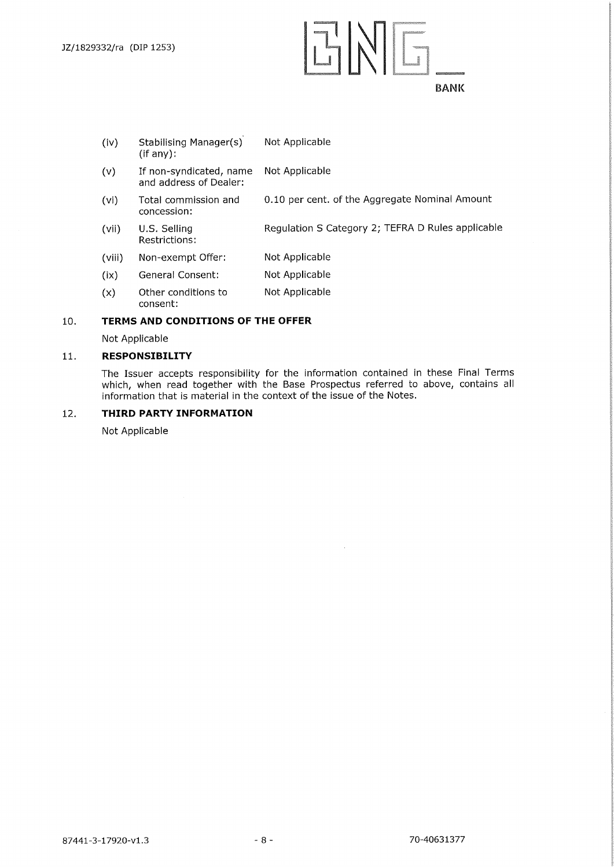IMP-M=0.M BANK

| (iv)   | <b>Stabilising Manager(s)</b><br>(if any):        | Not Applicable                                    |
|--------|---------------------------------------------------|---------------------------------------------------|
| (v)    | If non-syndicated, name<br>and address of Dealer: | Not Applicable                                    |
| (vi)   | Total commission and<br>concession:               | 0.10 per cent. of the Aggregate Nominal Amount    |
| (vii)  | U.S. Selling<br>Restrictions:                     | Regulation S Category 2; TEFRA D Rules applicable |
| (viii) | Non-exempt Offer:                                 | Not Applicable                                    |
| (ix)   | General Consent:                                  | Not Applicable                                    |
| (x)    | Other conditions to<br>consent:                   | Not Applicable                                    |

#### **10. TERMS AND CONDITIONS OF THE OFFER**

Not Applicable

#### **11. RESPONSIBILITY**

The Issuer accepts responsibility for the information contained in these Final Terms which, when read together with the Base Prospectus referred to above, contains all information that is material in the context of the issue of the Notes.

 $\sim$ 

#### **12. THIRD PARTY INFORMATION**

Not Applicable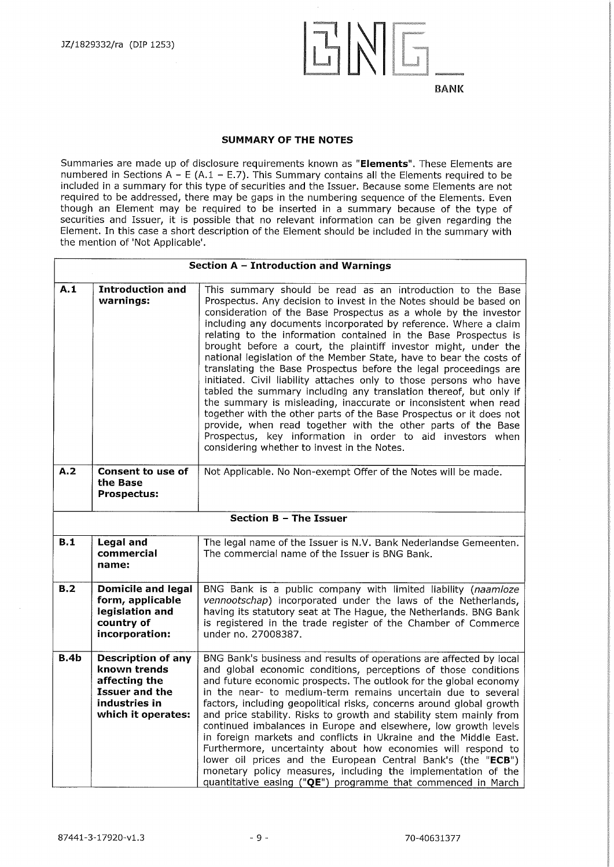

#### **SUMMARY OF THE NOTES**

Summaries are made up of disclosure requirements known as **"Elements".** These Elements are numbered in Sections  $A - E (A.1 - E.7)$ . This Summary contains all the Elements required to be included in a summary for this type of securities and the Issuer. Because some Elements are not required to be addressed, there may be gaps in the numbering sequence of the Elements. Even though an Element may be required to be inserted in a summary because of the type of securities and Issuer, it is possible that no relevant information can be given regarding the Element. In this case a short description of the Element should be included in the summary with the mention of 'Not Applicable'.

|                                                                                            | Section $A - Introduction$ and Warnings                                                                                    |                                                                                                                                                                                                                                                                                                                                                                                                                                                                                                                                                                                                                                                                                                                                                                                                                                                                                                                                                                             |  |  |
|--------------------------------------------------------------------------------------------|----------------------------------------------------------------------------------------------------------------------------|-----------------------------------------------------------------------------------------------------------------------------------------------------------------------------------------------------------------------------------------------------------------------------------------------------------------------------------------------------------------------------------------------------------------------------------------------------------------------------------------------------------------------------------------------------------------------------------------------------------------------------------------------------------------------------------------------------------------------------------------------------------------------------------------------------------------------------------------------------------------------------------------------------------------------------------------------------------------------------|--|--|
| A.1<br><b>Introduction and</b><br>warnings:<br>considering whether to invest in the Notes. |                                                                                                                            | This summary should be read as an introduction to the Base<br>Prospectus. Any decision to invest in the Notes should be based on<br>consideration of the Base Prospectus as a whole by the investor<br>including any documents incorporated by reference. Where a claim<br>relating to the information contained in the Base Prospectus is<br>brought before a court, the plaintiff investor might, under the<br>national legislation of the Member State, have to bear the costs of<br>translating the Base Prospectus before the legal proceedings are<br>initiated. Civil liability attaches only to those persons who have<br>tabled the summary including any translation thereof, but only if<br>the summary is misleading, inaccurate or inconsistent when read<br>together with the other parts of the Base Prospectus or it does not<br>provide, when read together with the other parts of the Base<br>Prospectus, key information in order to aid investors when |  |  |
| A.2                                                                                        | <b>Consent to use of</b><br>the Base<br><b>Prospectus:</b>                                                                 | Not Applicable. No Non-exempt Offer of the Notes will be made.                                                                                                                                                                                                                                                                                                                                                                                                                                                                                                                                                                                                                                                                                                                                                                                                                                                                                                              |  |  |
|                                                                                            |                                                                                                                            | <b>Section B - The Issuer</b>                                                                                                                                                                                                                                                                                                                                                                                                                                                                                                                                                                                                                                                                                                                                                                                                                                                                                                                                               |  |  |
| B.1                                                                                        | Legal and<br>commercial<br>name:                                                                                           | The legal name of the Issuer is N.V. Bank Nederlandse Gemeenten.<br>The commercial name of the Issuer is BNG Bank.                                                                                                                                                                                                                                                                                                                                                                                                                                                                                                                                                                                                                                                                                                                                                                                                                                                          |  |  |
| B.2                                                                                        | <b>Domicile and legal</b><br>form, applicable<br>legislation and<br>country of<br>incorporation:                           | BNG Bank is a public company with limited liability (naamloze<br>vennootschap) incorporated under the laws of the Netherlands,<br>having its statutory seat at The Hague, the Netherlands. BNG Bank<br>is registered in the trade register of the Chamber of Commerce<br>under no. 27008387.                                                                                                                                                                                                                                                                                                                                                                                                                                                                                                                                                                                                                                                                                |  |  |
| B.4b                                                                                       | <b>Description of any</b><br>known trends<br>affecting the<br><b>Issuer and the</b><br>industries in<br>which it operates: | BNG Bank's business and results of operations are affected by local<br>and global economic conditions, perceptions of those conditions<br>and future economic prospects. The outlook for the global economy<br>in the near- to medium-term remains uncertain due to several<br>factors, including geopolitical risks, concerns around global growth<br>and price stability. Risks to growth and stability stem mainly from<br>continued imbalances in Europe and elsewhere, low growth levels<br>in foreign markets and conflicts in Ukraine and the Middle East.<br>Furthermore, uncertainty about how economies will respond to<br>lower oil prices and the European Central Bank's (the "ECB")<br>monetary policy measures, including the implementation of the<br>quantitative easing ("QE") programme that commenced in March                                                                                                                                          |  |  |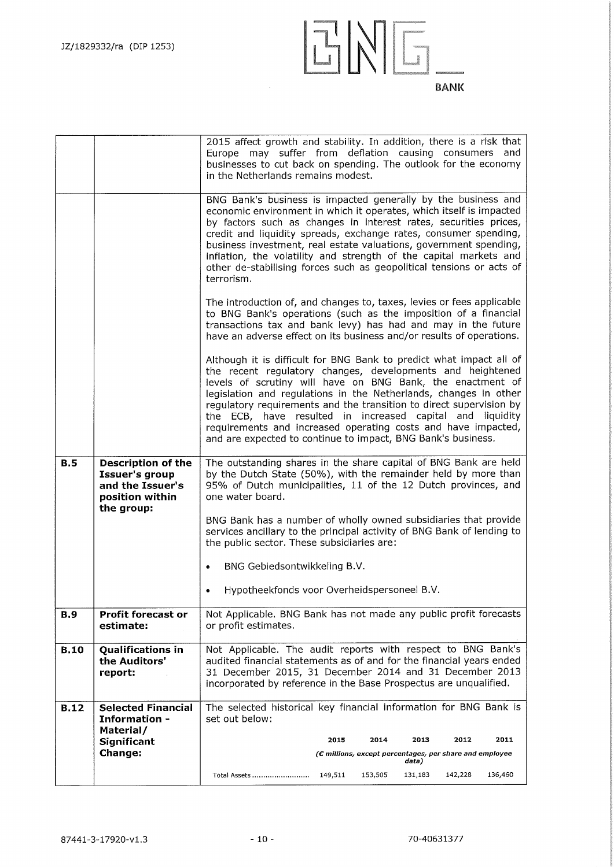

|             |                                                                                                         | 2015 affect growth and stability. In addition, there is a risk that<br>Europe may suffer from deflation causing consumers and<br>businesses to cut back on spending. The outlook for the economy<br>in the Netherlands remains modest.                                                                                                                                                                                                                                                                                                   |
|-------------|---------------------------------------------------------------------------------------------------------|------------------------------------------------------------------------------------------------------------------------------------------------------------------------------------------------------------------------------------------------------------------------------------------------------------------------------------------------------------------------------------------------------------------------------------------------------------------------------------------------------------------------------------------|
|             |                                                                                                         | BNG Bank's business is impacted generally by the business and<br>economic environment in which it operates, which itself is impacted<br>by factors such as changes in interest rates, securities prices,<br>credit and liquidity spreads, exchange rates, consumer spending,<br>business investment, real estate valuations, government spending,<br>inflation, the volatility and strength of the capital markets and<br>other de-stabilising forces such as geopolitical tensions or acts of<br>terrorism.                             |
|             |                                                                                                         | The introduction of, and changes to, taxes, levies or fees applicable<br>to BNG Bank's operations (such as the imposition of a financial<br>transactions tax and bank levy) has had and may in the future<br>have an adverse effect on its business and/or results of operations.                                                                                                                                                                                                                                                        |
|             |                                                                                                         | Although it is difficult for BNG Bank to predict what impact all of<br>the recent regulatory changes, developments and heightened<br>levels of scrutiny will have on BNG Bank, the enactment of<br>legislation and regulations in the Netherlands, changes in other<br>regulatory requirements and the transition to direct supervision by<br>the ECB, have resulted in increased capital and liquidity<br>requirements and increased operating costs and have impacted,<br>and are expected to continue to impact, BNG Bank's business. |
| <b>B.5</b>  | <b>Description of the</b><br><b>Issuer's group</b><br>and the Issuer's<br>position within<br>the group: | The outstanding shares in the share capital of BNG Bank are held<br>by the Dutch State (50%), with the remainder held by more than<br>95% of Dutch municipalities, 11 of the 12 Dutch provinces, and<br>one water board.                                                                                                                                                                                                                                                                                                                 |
|             |                                                                                                         | BNG Bank has a number of wholly owned subsidiaries that provide<br>services ancillary to the principal activity of BNG Bank of lending to<br>the public sector. These subsidiaries are:                                                                                                                                                                                                                                                                                                                                                  |
|             |                                                                                                         | BNG Gebiedsontwikkeling B.V.                                                                                                                                                                                                                                                                                                                                                                                                                                                                                                             |
|             |                                                                                                         | Hypotheekfonds voor Overheidspersoneel B.V.                                                                                                                                                                                                                                                                                                                                                                                                                                                                                              |
| <b>B.9</b>  | Profit forecast or<br>estimate:                                                                         | Not Applicable. BNG Bank has not made any public profit forecasts<br>or profit estimates.                                                                                                                                                                                                                                                                                                                                                                                                                                                |
| <b>B.10</b> | <b>Qualifications in</b><br>the Auditors'<br>report:                                                    | Not Applicable. The audit reports with respect to BNG Bank's<br>audited financial statements as of and for the financial years ended<br>31 December 2015, 31 December 2014 and 31 December 2013<br>incorporated by reference in the Base Prospectus are unqualified.                                                                                                                                                                                                                                                                     |
| <b>B.12</b> | <b>Selected Financial</b><br><b>Information -</b>                                                       | The selected historical key financial information for BNG Bank is<br>set out below:                                                                                                                                                                                                                                                                                                                                                                                                                                                      |
|             | Material/<br>Significant                                                                                | 2015<br>2014<br>2013<br>2012<br>2011                                                                                                                                                                                                                                                                                                                                                                                                                                                                                                     |
|             | <b>Change:</b>                                                                                          | (C millions, except percentages, per share and employee<br>data)                                                                                                                                                                                                                                                                                                                                                                                                                                                                         |
|             |                                                                                                         | 153,505<br>142,228<br>136,460<br>Total Assets<br>149,511<br>131,183                                                                                                                                                                                                                                                                                                                                                                                                                                                                      |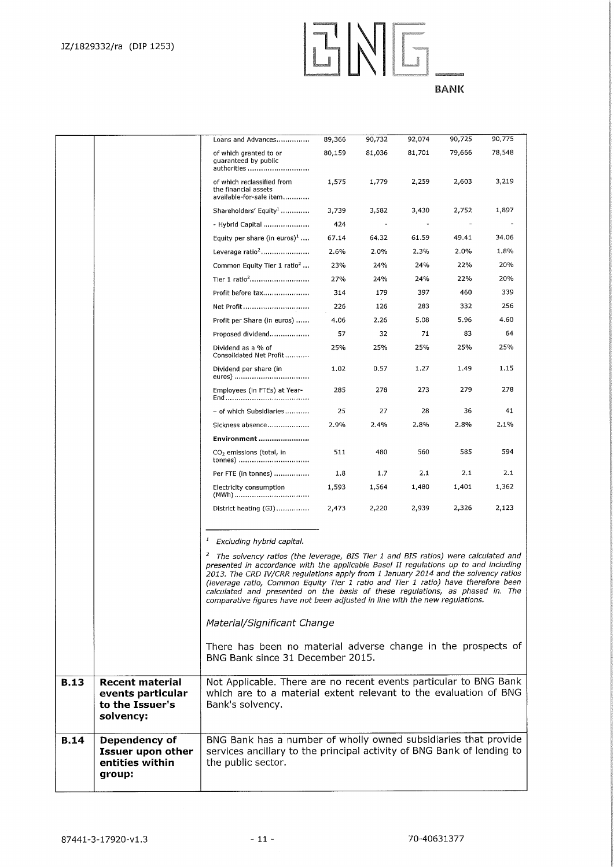EN6.

|             |                                                                             | Loans and Advances                                                                                                                                                                                                                                                                                                                                                                                                                                                                                                                    | 89,366 | 90,732 | 92,074 | 90,725 | 90,775 |
|-------------|-----------------------------------------------------------------------------|---------------------------------------------------------------------------------------------------------------------------------------------------------------------------------------------------------------------------------------------------------------------------------------------------------------------------------------------------------------------------------------------------------------------------------------------------------------------------------------------------------------------------------------|--------|--------|--------|--------|--------|
|             |                                                                             | of which granted to or                                                                                                                                                                                                                                                                                                                                                                                                                                                                                                                | 80,159 | 81,036 | 81,701 | 79,666 | 78,548 |
|             |                                                                             | guaranteed by public<br>authorities                                                                                                                                                                                                                                                                                                                                                                                                                                                                                                   |        |        |        |        |        |
|             |                                                                             | of which reclassified from<br>the financial assets<br>available-for-sale item                                                                                                                                                                                                                                                                                                                                                                                                                                                         | 1,575  | 1,779  | 2,259  | 2,603  | 3,219  |
|             |                                                                             | Shareholders' Equity <sup>1</sup>                                                                                                                                                                                                                                                                                                                                                                                                                                                                                                     | 3,739  | 3,582  | 3,430  | 2,752  | 1,897  |
|             |                                                                             | - Hybrid Capital                                                                                                                                                                                                                                                                                                                                                                                                                                                                                                                      | 424    |        |        |        |        |
|             |                                                                             | Equity per share (in euros) <sup>1</sup>                                                                                                                                                                                                                                                                                                                                                                                                                                                                                              | 67.14  | 64.32  | 61.59  | 49.41  | 34.06  |
|             |                                                                             | Leverage ratio <sup>2</sup>                                                                                                                                                                                                                                                                                                                                                                                                                                                                                                           | 2.6%   | 2.0%   | 2.3%   | 2.0%   | 1.8%   |
|             |                                                                             | Common Equity Tier 1 ratio <sup>2</sup>                                                                                                                                                                                                                                                                                                                                                                                                                                                                                               | 23%    | 24%    | 24%    | 22%    | 20%    |
|             |                                                                             |                                                                                                                                                                                                                                                                                                                                                                                                                                                                                                                                       | 27%    | 24%    | 24%    | 22%    | 20%    |
|             |                                                                             | Profit before tax                                                                                                                                                                                                                                                                                                                                                                                                                                                                                                                     | 314    | 179    | 397    | 460    | 339    |
|             |                                                                             | Net Profit                                                                                                                                                                                                                                                                                                                                                                                                                                                                                                                            | 226    | 126    | 283    | 332    | 256    |
|             |                                                                             | Profit per Share (in euros)                                                                                                                                                                                                                                                                                                                                                                                                                                                                                                           | 4.06   | 2.26   | 5.08   | 5.96   | 4.60   |
|             |                                                                             | Proposed dividend                                                                                                                                                                                                                                                                                                                                                                                                                                                                                                                     | 57     | 32     | 71     | 83     | 64     |
|             |                                                                             | Dividend as a % of<br>Consolidated Net Profit                                                                                                                                                                                                                                                                                                                                                                                                                                                                                         | 25%    | 25%    | 25%    | 25%    | 25%    |
|             |                                                                             | Dividend per share (in<br>euros)                                                                                                                                                                                                                                                                                                                                                                                                                                                                                                      | 1.02   | 0.57   | 1.27   | 1.49   | 1.15   |
|             |                                                                             | Employees (in FTEs) at Year-                                                                                                                                                                                                                                                                                                                                                                                                                                                                                                          | 285    | 278    | 273    | 279    | 278    |
|             |                                                                             | - of which Subsidiaries                                                                                                                                                                                                                                                                                                                                                                                                                                                                                                               | 25     | 27     | 28     | 36     | 41     |
|             |                                                                             | Sickness absence                                                                                                                                                                                                                                                                                                                                                                                                                                                                                                                      | 2.9%   | 2.4%   | 2.8%   | 2.8%   | 2.1%   |
|             |                                                                             | Environment                                                                                                                                                                                                                                                                                                                                                                                                                                                                                                                           |        |        |        |        |        |
|             |                                                                             | CO <sub>2</sub> emissions (total, in<br>tonnes)                                                                                                                                                                                                                                                                                                                                                                                                                                                                                       | 511    | 480    | 560    | 585    | 594    |
|             |                                                                             | Per FTE (in tonnes)                                                                                                                                                                                                                                                                                                                                                                                                                                                                                                                   | 1.8    | 1.7    | 2.1    | 2.1    | 2.1    |
|             |                                                                             | Electricity consumption<br>(MWh)                                                                                                                                                                                                                                                                                                                                                                                                                                                                                                      | 1,593  | 1,564  | 1,480  | 1,401  | 1,362  |
|             |                                                                             | District heating (GJ)                                                                                                                                                                                                                                                                                                                                                                                                                                                                                                                 | 2,473  | 2,220  | 2,939  | 2,326  | 2,123  |
|             |                                                                             | $\mathbf{I}$<br>Excluding hybrid capital.                                                                                                                                                                                                                                                                                                                                                                                                                                                                                             |        |        |        |        |        |
|             |                                                                             | $\mathbf{z}$<br>The solvency ratios (the leverage, BIS Tier 1 and BIS ratios) were calculated and<br>presented in accordance with the applicable Basel II regulations up to and including<br>2013. The CRD IV/CRR regulations apply from 1 January 2014 and the solvency ratios<br>(leverage ratio, Common Equity Tier 1 ratio and Tier 1 ratio) have therefore been<br>calculated and presented on the basis of these regulations, as phased in. The<br>comparative figures have not been adjusted in line with the new regulations. |        |        |        |        |        |
|             |                                                                             | Material/Significant Change                                                                                                                                                                                                                                                                                                                                                                                                                                                                                                           |        |        |        |        |        |
|             |                                                                             | There has been no material adverse change in the prospects of<br>BNG Bank since 31 December 2015.                                                                                                                                                                                                                                                                                                                                                                                                                                     |        |        |        |        |        |
| <b>B.13</b> | <b>Recent material</b><br>events particular<br>to the Issuer's<br>solvency: | Not Applicable. There are no recent events particular to BNG Bank<br>which are to a material extent relevant to the evaluation of BNG<br>Bank's solvency.                                                                                                                                                                                                                                                                                                                                                                             |        |        |        |        |        |
| <b>B.14</b> | Dependency of<br><b>Issuer upon other</b><br>entities within<br>group:      | BNG Bank has a number of wholly owned subsidiaries that provide<br>services ancillary to the principal activity of BNG Bank of lending to<br>the public sector.                                                                                                                                                                                                                                                                                                                                                                       |        |        |        |        |        |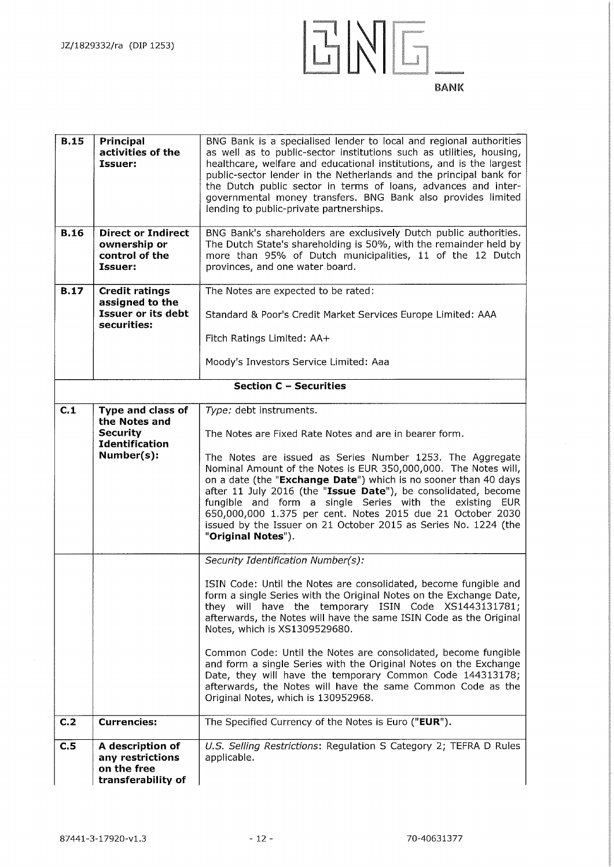

| <b>B.15</b> | Principal<br>activities of the<br><b>Issuer:</b>                                             | BNG Bank is a specialised lender to local and regional authorities<br>as well as to public-sector institutions such as utilities, housing,<br>healthcare, welfare and educational institutions, and is the largest<br>public-sector lender in the Netherlands and the principal bank for<br>the Dutch public sector in terms of loans, advances and inter-<br>governmental money transfers. BNG Bank also provides limited<br>lending to public-private partnerships.                                                                                                                                                                                |  |
|-------------|----------------------------------------------------------------------------------------------|------------------------------------------------------------------------------------------------------------------------------------------------------------------------------------------------------------------------------------------------------------------------------------------------------------------------------------------------------------------------------------------------------------------------------------------------------------------------------------------------------------------------------------------------------------------------------------------------------------------------------------------------------|--|
| <b>B.16</b> | <b>Direct or Indirect</b><br>ownership or<br>control of the<br>Issuer:                       | BNG Bank's shareholders are exclusively Dutch public authorities.<br>The Dutch State's shareholding is 50%, with the remainder held by<br>more than 95% of Dutch municipalities, 11 of the 12 Dutch<br>provinces, and one water board.                                                                                                                                                                                                                                                                                                                                                                                                               |  |
| <b>B.17</b> | <b>Credit ratings</b><br>assigned to the<br>Issuer or its debt<br>securities:                | The Notes are expected to be rated:<br>Standard & Poor's Credit Market Services Europe Limited: AAA<br>Fitch Ratings Limited: AA+<br>Moody's Investors Service Limited: Aaa                                                                                                                                                                                                                                                                                                                                                                                                                                                                          |  |
|             |                                                                                              | <b>Section C - Securities</b>                                                                                                                                                                                                                                                                                                                                                                                                                                                                                                                                                                                                                        |  |
| C.1         | Type and class of<br>the Notes and<br><b>Security</b><br><b>Identification</b><br>Number(s): | Type: debt instruments.<br>The Notes are Fixed Rate Notes and are in bearer form.<br>The Notes are issued as Series Number 1253. The Aggregate<br>Nominal Amount of the Notes is EUR 350,000,000. The Notes will,<br>on a date (the "Exchange Date") which is no sooner than 40 days<br>after 11 July 2016 (the "Issue Date"), be consolidated, become<br>fungible and form a single Series with the existing EUR<br>650,000,000 1.375 per cent. Notes 2015 due 21 October 2030<br>issued by the Issuer on 21 October 2015 as Series No. 1224 (the<br>"Original Notes").                                                                             |  |
|             |                                                                                              | Security Identification Number(s):<br>ISIN Code: Until the Notes are consolidated, become fungible and<br>form a single Series with the Original Notes on the Exchange Date,<br>they will have the temporary ISIN Code XS1443131781;<br>afterwards, the Notes will have the same ISIN Code as the Original<br>Notes, which is XS1309529680.<br>Common Code: Until the Notes are consolidated, become fungible<br>and form a single Series with the Original Notes on the Exchange<br>Date, they will have the temporary Common Code 144313178;<br>afterwards, the Notes will have the same Common Code as the<br>Original Notes, which is 130952968. |  |
| C.2         | <b>Currencies:</b>                                                                           | The Specified Currency of the Notes is Euro ("EUR").                                                                                                                                                                                                                                                                                                                                                                                                                                                                                                                                                                                                 |  |
| C.5         | A description of<br>any restrictions<br>on the free<br>transferability of                    | U.S. Selling Restrictions: Regulation S Category 2; TEFRA D Rules<br>applicable.                                                                                                                                                                                                                                                                                                                                                                                                                                                                                                                                                                     |  |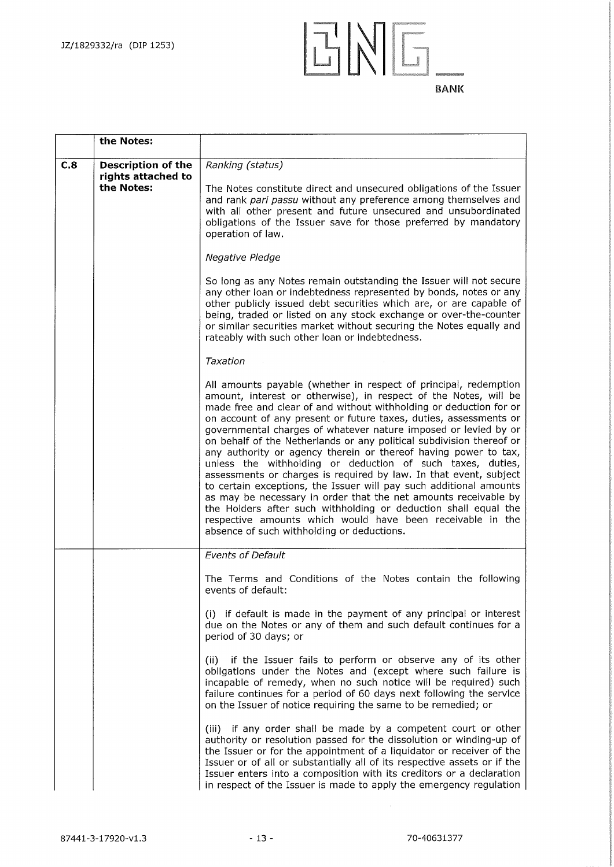

|     | the Notes:                                      |                                                                                                                                                                                                                                                                                                                                                                                                                                                                                                                                                                                                                                                                                                                                                                                                                                                                                                                                                          |
|-----|-------------------------------------------------|----------------------------------------------------------------------------------------------------------------------------------------------------------------------------------------------------------------------------------------------------------------------------------------------------------------------------------------------------------------------------------------------------------------------------------------------------------------------------------------------------------------------------------------------------------------------------------------------------------------------------------------------------------------------------------------------------------------------------------------------------------------------------------------------------------------------------------------------------------------------------------------------------------------------------------------------------------|
| C.8 | <b>Description of the</b><br>rights attached to | Ranking (status)                                                                                                                                                                                                                                                                                                                                                                                                                                                                                                                                                                                                                                                                                                                                                                                                                                                                                                                                         |
|     | the Notes:                                      | The Notes constitute direct and unsecured obligations of the Issuer<br>and rank pari passu without any preference among themselves and<br>with all other present and future unsecured and unsubordinated<br>obligations of the Issuer save for those preferred by mandatory<br>operation of law.                                                                                                                                                                                                                                                                                                                                                                                                                                                                                                                                                                                                                                                         |
|     |                                                 | Negative Pledge                                                                                                                                                                                                                                                                                                                                                                                                                                                                                                                                                                                                                                                                                                                                                                                                                                                                                                                                          |
|     |                                                 | So long as any Notes remain outstanding the Issuer will not secure<br>any other loan or indebtedness represented by bonds, notes or any<br>other publicly issued debt securities which are, or are capable of<br>being, traded or listed on any stock exchange or over-the-counter<br>or similar securities market without securing the Notes equally and<br>rateably with such other loan or indebtedness.                                                                                                                                                                                                                                                                                                                                                                                                                                                                                                                                              |
|     |                                                 | Taxation                                                                                                                                                                                                                                                                                                                                                                                                                                                                                                                                                                                                                                                                                                                                                                                                                                                                                                                                                 |
|     |                                                 | All amounts payable (whether in respect of principal, redemption<br>amount, interest or otherwise), in respect of the Notes, will be<br>made free and clear of and without withholding or deduction for or<br>on account of any present or future taxes, duties, assessments or<br>governmental charges of whatever nature imposed or levied by or<br>on behalf of the Netherlands or any political subdivision thereof or<br>any authority or agency therein or thereof having power to tax,<br>unless the withholding or deduction of such taxes, duties,<br>assessments or charges is required by law. In that event, subject<br>to certain exceptions, the Issuer will pay such additional amounts<br>as may be necessary in order that the net amounts receivable by<br>the Holders after such withholding or deduction shall equal the<br>respective amounts which would have been receivable in the<br>absence of such withholding or deductions. |
|     |                                                 | <b>Events of Default</b>                                                                                                                                                                                                                                                                                                                                                                                                                                                                                                                                                                                                                                                                                                                                                                                                                                                                                                                                 |
|     |                                                 | The Terms and Conditions of the Notes contain the following<br>events of default:                                                                                                                                                                                                                                                                                                                                                                                                                                                                                                                                                                                                                                                                                                                                                                                                                                                                        |
|     |                                                 | (i) if default is made in the payment of any principal or interest<br>due on the Notes or any of them and such default continues for a<br>period of 30 days; or                                                                                                                                                                                                                                                                                                                                                                                                                                                                                                                                                                                                                                                                                                                                                                                          |
|     |                                                 | (ii) if the Issuer fails to perform or observe any of its other<br>obligations under the Notes and (except where such failure is<br>incapable of remedy, when no such notice will be required) such<br>failure continues for a period of 60 days next following the service<br>on the Issuer of notice requiring the same to be remedied; or                                                                                                                                                                                                                                                                                                                                                                                                                                                                                                                                                                                                             |
|     |                                                 | (iii) if any order shall be made by a competent court or other<br>authority or resolution passed for the dissolution or winding-up of<br>the Issuer or for the appointment of a liquidator or receiver of the<br>Issuer or of all or substantially all of its respective assets or if the<br>Issuer enters into a composition with its creditors or a declaration<br>in respect of the Issuer is made to apply the emergency regulation                                                                                                                                                                                                                                                                                                                                                                                                                                                                                                                  |

 $\mathcal{A}^{\mathcal{A}}$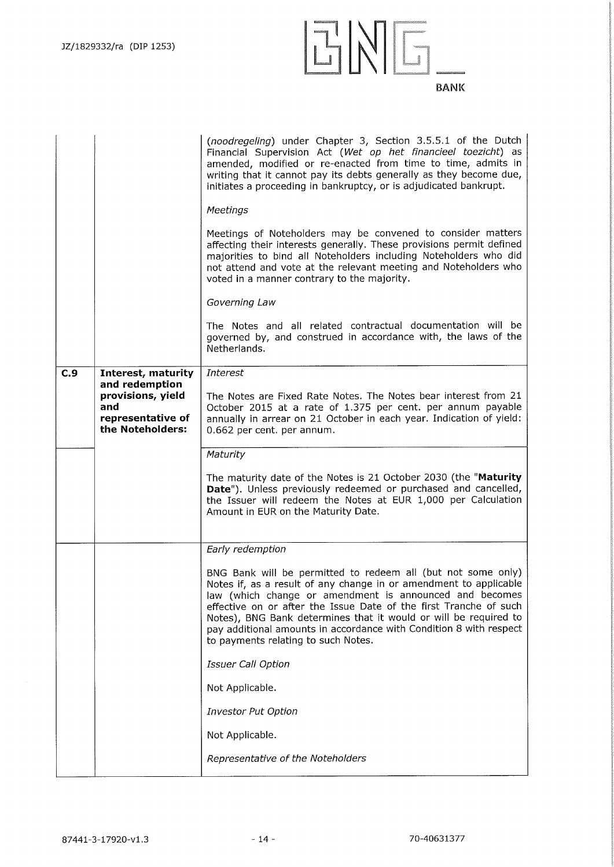

|     |                                                                                     | (noodregeling) under Chapter 3, Section 3.5.5.1 of the Dutch<br>Financial Supervision Act (Wet op het financieel toezicht) as<br>amended, modified or re-enacted from time to time, admits in<br>writing that it cannot pay its debts generally as they become due,<br>initiates a proceeding in bankruptcy, or is adjudicated bankrupt.<br>Meetings<br>Meetings of Noteholders may be convened to consider matters<br>affecting their interests generally. These provisions permit defined<br>majorities to bind all Noteholders including Noteholders who did<br>not attend and vote at the relevant meeting and Noteholders who<br>voted in a manner contrary to the majority.<br>Governing Law<br>The Notes and all related contractual documentation will be<br>governed by, and construed in accordance with, the laws of the<br>Netherlands. |
|-----|-------------------------------------------------------------------------------------|-----------------------------------------------------------------------------------------------------------------------------------------------------------------------------------------------------------------------------------------------------------------------------------------------------------------------------------------------------------------------------------------------------------------------------------------------------------------------------------------------------------------------------------------------------------------------------------------------------------------------------------------------------------------------------------------------------------------------------------------------------------------------------------------------------------------------------------------------------|
| C.9 | Interest, maturity                                                                  | <b>Interest</b>                                                                                                                                                                                                                                                                                                                                                                                                                                                                                                                                                                                                                                                                                                                                                                                                                                     |
|     | and redemption<br>provisions, yield<br>and<br>representative of<br>the Noteholders: | The Notes are Fixed Rate Notes. The Notes bear interest from 21<br>October 2015 at a rate of 1.375 per cent. per annum payable<br>annually in arrear on 21 October in each year. Indication of yield:<br>0.662 per cent. per annum.                                                                                                                                                                                                                                                                                                                                                                                                                                                                                                                                                                                                                 |
|     |                                                                                     | Maturity                                                                                                                                                                                                                                                                                                                                                                                                                                                                                                                                                                                                                                                                                                                                                                                                                                            |
|     |                                                                                     | The maturity date of the Notes is 21 October 2030 (the "Maturity<br>Date"). Unless previously redeemed or purchased and cancelled,<br>the Issuer will redeem the Notes at EUR 1,000 per Calculation<br>Amount in EUR on the Maturity Date.                                                                                                                                                                                                                                                                                                                                                                                                                                                                                                                                                                                                          |
|     |                                                                                     | Early redemption                                                                                                                                                                                                                                                                                                                                                                                                                                                                                                                                                                                                                                                                                                                                                                                                                                    |
|     |                                                                                     | BNG Bank will be permitted to redeem all (but not some only)<br>Notes if, as a result of any change in or amendment to applicable<br>law (which change or amendment is announced and becomes<br>effective on or after the Issue Date of the first Tranche of such<br>Notes), BNG Bank determines that it would or will be required to<br>pay additional amounts in accordance with Condition 8 with respect<br>to payments relating to such Notes.                                                                                                                                                                                                                                                                                                                                                                                                  |
|     |                                                                                     | <b>Issuer Call Option</b>                                                                                                                                                                                                                                                                                                                                                                                                                                                                                                                                                                                                                                                                                                                                                                                                                           |
|     |                                                                                     | Not Applicable.                                                                                                                                                                                                                                                                                                                                                                                                                                                                                                                                                                                                                                                                                                                                                                                                                                     |
|     |                                                                                     | <b>Investor Put Option</b>                                                                                                                                                                                                                                                                                                                                                                                                                                                                                                                                                                                                                                                                                                                                                                                                                          |
|     |                                                                                     | Not Applicable.                                                                                                                                                                                                                                                                                                                                                                                                                                                                                                                                                                                                                                                                                                                                                                                                                                     |
|     |                                                                                     | Representative of the Noteholders                                                                                                                                                                                                                                                                                                                                                                                                                                                                                                                                                                                                                                                                                                                                                                                                                   |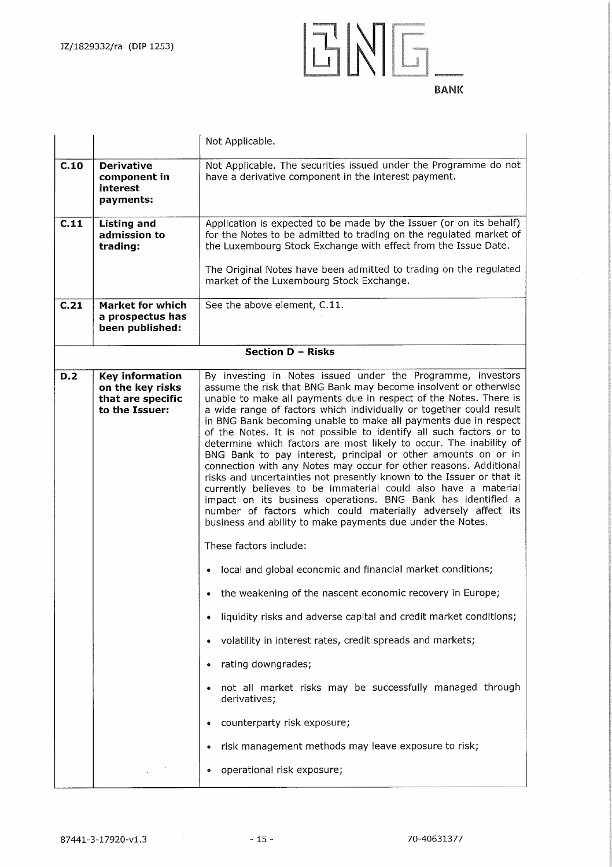

|      |                                                                                   | Not Applicable.                                                                                                                                                                                                                                                                                                                                                                                                                                                                                                                                                                                                                                                                                                                                                                                                                                                                                                                                                           |  |
|------|-----------------------------------------------------------------------------------|---------------------------------------------------------------------------------------------------------------------------------------------------------------------------------------------------------------------------------------------------------------------------------------------------------------------------------------------------------------------------------------------------------------------------------------------------------------------------------------------------------------------------------------------------------------------------------------------------------------------------------------------------------------------------------------------------------------------------------------------------------------------------------------------------------------------------------------------------------------------------------------------------------------------------------------------------------------------------|--|
| C.10 | <b>Derivative</b><br>component in<br>interest<br>payments:                        | Not Applicable. The securities issued under the Programme do not<br>have a derivative component in the interest payment.                                                                                                                                                                                                                                                                                                                                                                                                                                                                                                                                                                                                                                                                                                                                                                                                                                                  |  |
| C.11 | <b>Listing and</b><br>admission to<br>trading:                                    | Application is expected to be made by the Issuer (or on its behalf)<br>for the Notes to be admitted to trading on the regulated market of<br>the Luxembourg Stock Exchange with effect from the Issue Date.                                                                                                                                                                                                                                                                                                                                                                                                                                                                                                                                                                                                                                                                                                                                                               |  |
|      |                                                                                   | The Original Notes have been admitted to trading on the regulated<br>market of the Luxembourg Stock Exchange.                                                                                                                                                                                                                                                                                                                                                                                                                                                                                                                                                                                                                                                                                                                                                                                                                                                             |  |
| C.21 | Market for which<br>a prospectus has<br>been published:                           | See the above element, C.11.                                                                                                                                                                                                                                                                                                                                                                                                                                                                                                                                                                                                                                                                                                                                                                                                                                                                                                                                              |  |
|      |                                                                                   | <b>Section D - Risks</b>                                                                                                                                                                                                                                                                                                                                                                                                                                                                                                                                                                                                                                                                                                                                                                                                                                                                                                                                                  |  |
| D.2  | <b>Key information</b><br>on the key risks<br>that are specific<br>to the Issuer: | By investing in Notes issued under the Programme, investors<br>assume the risk that BNG Bank may become insolvent or otherwise<br>unable to make all payments due in respect of the Notes. There is<br>a wide range of factors which individually or together could result<br>in BNG Bank becoming unable to make all payments due in respect<br>of the Notes. It is not possible to identify all such factors or to<br>determine which factors are most likely to occur. The inability of<br>BNG Bank to pay interest, principal or other amounts on or in<br>connection with any Notes may occur for other reasons. Additional<br>risks and uncertainties not presently known to the Issuer or that it<br>currently believes to be immaterial could also have a material<br>impact on its business operations. BNG Bank has identified a<br>number of factors which could materially adversely affect its<br>business and ability to make payments due under the Notes. |  |
|      |                                                                                   | These factors include:                                                                                                                                                                                                                                                                                                                                                                                                                                                                                                                                                                                                                                                                                                                                                                                                                                                                                                                                                    |  |
|      |                                                                                   | • local and global economic and financial market conditions;                                                                                                                                                                                                                                                                                                                                                                                                                                                                                                                                                                                                                                                                                                                                                                                                                                                                                                              |  |
|      |                                                                                   | the weakening of the nascent economic recovery in Europe;                                                                                                                                                                                                                                                                                                                                                                                                                                                                                                                                                                                                                                                                                                                                                                                                                                                                                                                 |  |
|      |                                                                                   | liquidity risks and adverse capital and credit market conditions;<br>٠                                                                                                                                                                                                                                                                                                                                                                                                                                                                                                                                                                                                                                                                                                                                                                                                                                                                                                    |  |
|      |                                                                                   | volatility in interest rates, credit spreads and markets;                                                                                                                                                                                                                                                                                                                                                                                                                                                                                                                                                                                                                                                                                                                                                                                                                                                                                                                 |  |
|      |                                                                                   | rating downgrades;                                                                                                                                                                                                                                                                                                                                                                                                                                                                                                                                                                                                                                                                                                                                                                                                                                                                                                                                                        |  |
|      |                                                                                   | not all market risks may be successfully managed through<br>derivatives;                                                                                                                                                                                                                                                                                                                                                                                                                                                                                                                                                                                                                                                                                                                                                                                                                                                                                                  |  |
|      |                                                                                   | counterparty risk exposure;                                                                                                                                                                                                                                                                                                                                                                                                                                                                                                                                                                                                                                                                                                                                                                                                                                                                                                                                               |  |
|      |                                                                                   | risk management methods may leave exposure to risk;                                                                                                                                                                                                                                                                                                                                                                                                                                                                                                                                                                                                                                                                                                                                                                                                                                                                                                                       |  |
|      |                                                                                   | operational risk exposure;                                                                                                                                                                                                                                                                                                                                                                                                                                                                                                                                                                                                                                                                                                                                                                                                                                                                                                                                                |  |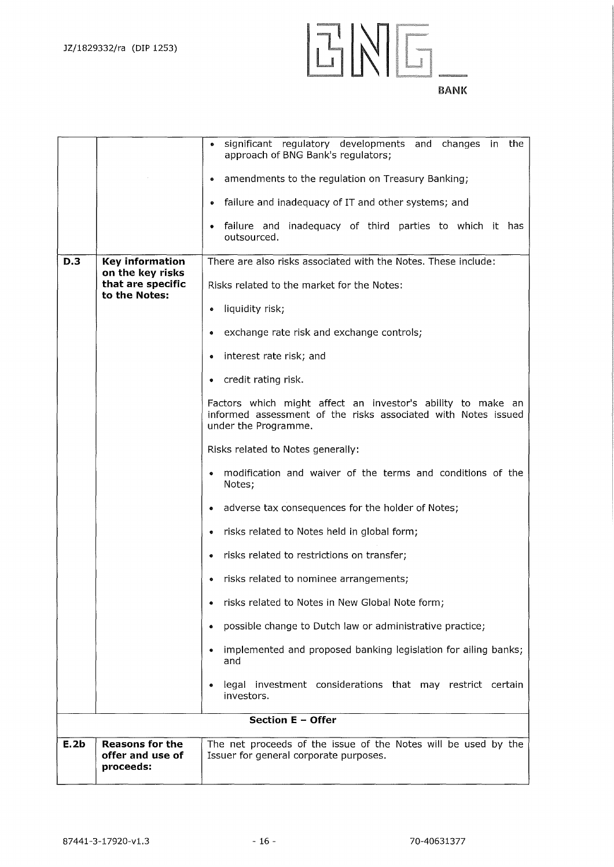



|                          |                                                         | significant regulatory developments and changes in the<br>$\bullet$<br>approach of BNG Bank's regulators;                                            |
|--------------------------|---------------------------------------------------------|------------------------------------------------------------------------------------------------------------------------------------------------------|
|                          |                                                         | amendments to the regulation on Treasury Banking;<br>۰                                                                                               |
|                          |                                                         | failure and inadequacy of IT and other systems; and<br>$\bullet$                                                                                     |
|                          |                                                         | failure and inadequacy of third parties to which it has<br>۰<br>outsourced.                                                                          |
| D.3                      | <b>Key information</b>                                  | There are also risks associated with the Notes. These include:                                                                                       |
|                          | on the key risks<br>that are specific                   | Risks related to the market for the Notes:                                                                                                           |
|                          | to the Notes:                                           | liquidity risk;<br>۰                                                                                                                                 |
|                          |                                                         | exchange rate risk and exchange controls;<br>۰                                                                                                       |
|                          |                                                         | interest rate risk; and<br>۰                                                                                                                         |
|                          |                                                         | credit rating risk.<br>۰                                                                                                                             |
|                          |                                                         | Factors which might affect an investor's ability to make an<br>informed assessment of the risks associated with Notes issued<br>under the Programme. |
|                          |                                                         | Risks related to Notes generally:                                                                                                                    |
|                          |                                                         | modification and waiver of the terms and conditions of the<br>$\bullet$<br>Notes;                                                                    |
|                          |                                                         | adverse tax consequences for the holder of Notes;                                                                                                    |
|                          |                                                         | risks related to Notes held in global form;                                                                                                          |
|                          |                                                         | risks related to restrictions on transfer;<br>۰                                                                                                      |
|                          |                                                         | risks related to nominee arrangements;<br>۰                                                                                                          |
|                          |                                                         | risks related to Notes in New Global Note form;                                                                                                      |
|                          |                                                         | possible change to Dutch law or administrative practice;<br>٠                                                                                        |
|                          |                                                         | implemented and proposed banking legislation for ailing banks;<br>$\bullet$<br>and                                                                   |
|                          |                                                         | legal investment considerations that may restrict certain<br>$\bullet$<br>investors.                                                                 |
| <b>Section E - Offer</b> |                                                         |                                                                                                                                                      |
| E.2b                     | <b>Reasons for the</b><br>offer and use of<br>proceeds: | The net proceeds of the issue of the Notes will be used by the<br>Issuer for general corporate purposes.                                             |